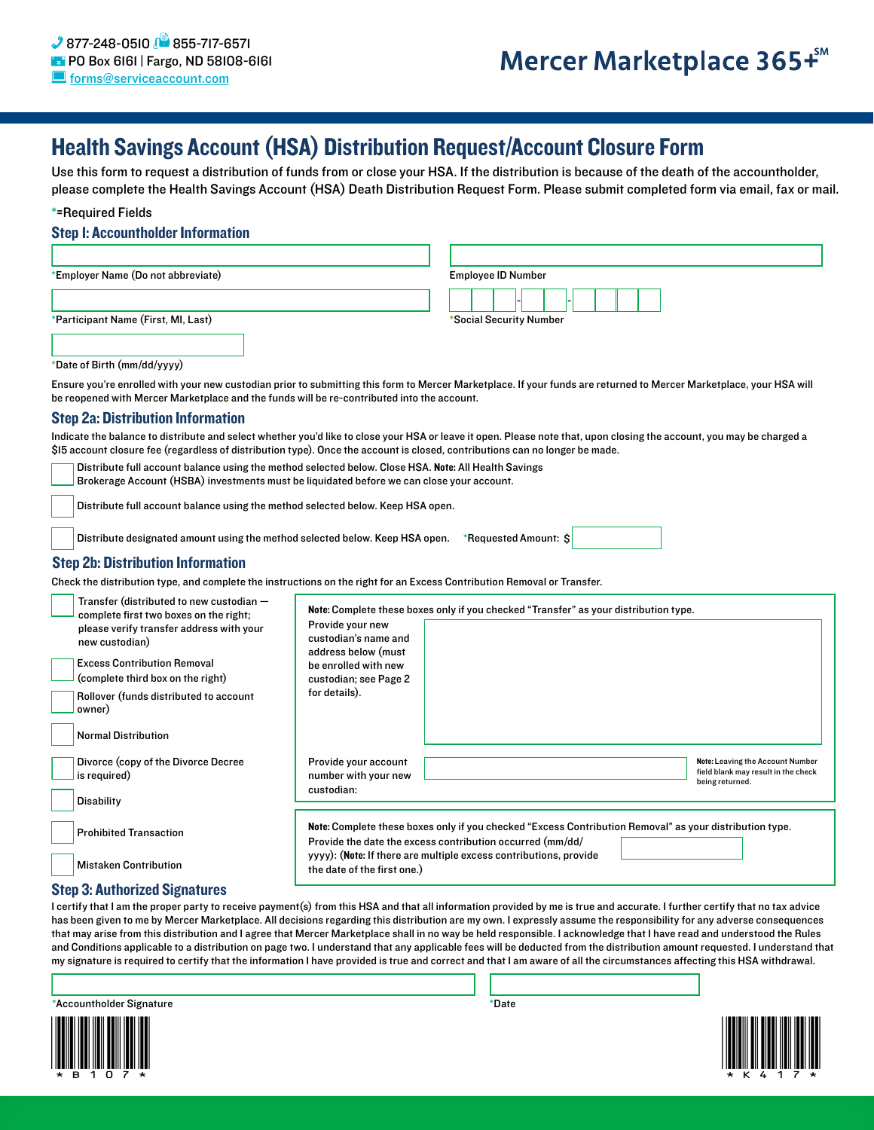## Health Savings Account (HSA) Distribution Request/Account Closure Form

Use this form to request a distribution of funds from or close your HSA. If the distribution is because of the death of the accountholder, please complete the Health Savings Account (HSA) Death Distribution Request Form. Please submit completed form via email, fax or mail.

#### \*=Required Fields

#### Step 1: Accountholder Information

| *Employer Name (Do not abbreviate)  | <b>Employee ID Number</b> |
|-------------------------------------|---------------------------|
| *Participant Name (First, MI, Last) | *Social Security Number   |
|                                     |                           |
|                                     |                           |

#### \*Date of Birth (mm/dd/yyyy)

Ensure you're enrolled with your new custodian prior to submitting this form to Mercer Marketplace. If your funds are returned to Mercer Marketplace, your HSA will be reopened with Mercer Marketplace and the funds will be re-contributed into the account.

#### Step 2a: Distribution Information

Indicate the balance to distribute and select whether you'd like to close your HSA or leave it open. Please note that, upon closing the account, you may be charged a \$15 account closure fee (regardless of distribution type). Once the account is closed, contributions can no longer be made.

Distribute full account balance using the method selected below. Close HSA. Note: All Health Savings

Brokerage Account (HSBA) investments must be liquidated before we can close your account.

Distribute full account balance using the method selected below. Keep HSA open.

Distribute designated amount using the method selected below. Keep HSA open. \*Requested Amount: \$

#### Step 2b: Distribution Information

Check the distribution type, and complete the instructions on the right for an Excess Contribution Removal or Transfer.

| Transfer (distributed to new custodian $-$<br>complete first two boxes on the right;<br>please verify transfer address with your<br>new custodian)<br><b>Excess Contribution Removal</b><br>(complete third box on the right)<br>Rollover (funds distributed to account<br>owner)<br><b>Normal Distribution</b> | Provide your new<br>custodian's name and<br>address below (must<br>be enrolled with new<br>custodian; see Page 2<br>for details).                                                                                                                                        | Note: Complete these boxes only if you checked "Transfer" as your distribution type. |                                                                                            |
|-----------------------------------------------------------------------------------------------------------------------------------------------------------------------------------------------------------------------------------------------------------------------------------------------------------------|--------------------------------------------------------------------------------------------------------------------------------------------------------------------------------------------------------------------------------------------------------------------------|--------------------------------------------------------------------------------------|--------------------------------------------------------------------------------------------|
| Divorce (copy of the Divorce Decree<br>is required)<br><b>Disability</b>                                                                                                                                                                                                                                        | Provide your account<br>number with your new<br>custodian:                                                                                                                                                                                                               |                                                                                      | Note: Leaving the Account Number<br>field blank may result in the check<br>being returned. |
| <b>Prohibited Transaction</b><br><b>Mistaken Contribution</b>                                                                                                                                                                                                                                                   | Note: Complete these boxes only if you checked "Excess Contribution Removal" as your distribution type.<br>Provide the date the excess contribution occurred (mm/dd/<br>yyyy): (Note: If there are multiple excess contributions, provide<br>the date of the first one.) |                                                                                      |                                                                                            |

### Step 3: Authorized Signatures

I certify that I am the proper party to receive payment(s) from this HSA and that all information provided by me is true and accurate. I further certify that no tax advice has been given to me by Mercer Marketplace. All decisions regarding this distribution are my own. I expressly assume the responsibility for any adverse consequences that may arise from this distribution and I agree that Mercer Marketplace shall in no way be held responsible. I acknowledge that I have read and understood the Rules and Conditions applicable to a distribution on page two. I understand that any applicable fees will be deducted from the distribution amount requested. I understand that my signature is required to certify that the information I have provided is true and correct and that I am aware of all the circumstances affecting this HSA withdrawal.